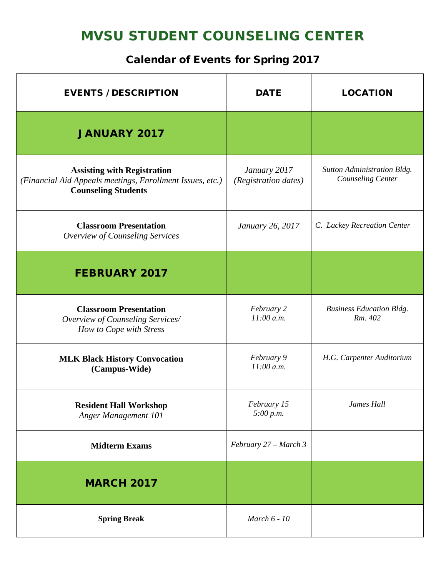## MVSU STUDENT COUNSELING CENTER

## Calendar of Events for Spring 2017

| <b>EVENTS / DESCRIPTION</b>                                                                                                   | <b>DATE</b>                          | <b>LOCATION</b>                                  |
|-------------------------------------------------------------------------------------------------------------------------------|--------------------------------------|--------------------------------------------------|
| <b>JANUARY 2017</b>                                                                                                           |                                      |                                                  |
| <b>Assisting with Registration</b><br>(Financial Aid Appeals meetings, Enrollment Issues, etc.)<br><b>Counseling Students</b> | January 2017<br>(Registration dates) | Sutton Administration Bldg.<br>Counseling Center |
| <b>Classroom Presentation</b><br>Overview of Counseling Services                                                              | January 26, 2017                     | C. Lackey Recreation Center                      |
| <b>FEBRUARY 2017</b>                                                                                                          |                                      |                                                  |
| <b>Classroom Presentation</b><br>Overview of Counseling Services/<br>How to Cope with Stress                                  | February 2<br>$11:00$ a.m.           | <b>Business Education Bldg.</b><br>Rm. 402       |
| <b>MLK Black History Convocation</b><br>(Campus-Wide)                                                                         | February 9<br>$11:00$ a.m.           | H.G. Carpenter Auditorium                        |
| <b>Resident Hall Workshop</b><br>Anger Management 101                                                                         | February 15<br>5:00 p.m.             | James Hall                                       |
| <b>Midterm Exams</b>                                                                                                          | February 27 – March 3                |                                                  |
| <b>MARCH 2017</b>                                                                                                             |                                      |                                                  |
| <b>Spring Break</b>                                                                                                           | March 6 - 10                         |                                                  |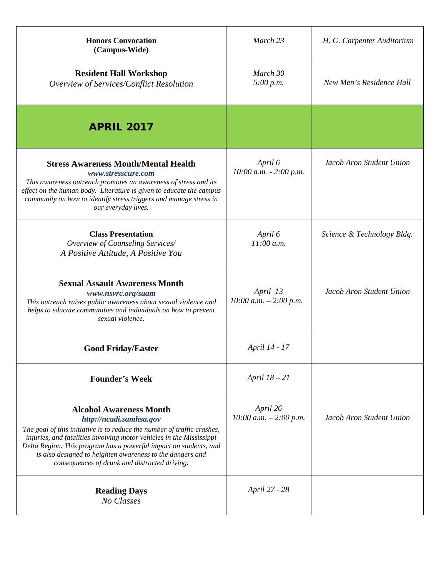| <b>Honors Convocation</b><br>(Campus-Wide)                                                                                                                                                                                                                                                                                                                                                      | March 23                              | H. G. Carpenter Auditorium |
|-------------------------------------------------------------------------------------------------------------------------------------------------------------------------------------------------------------------------------------------------------------------------------------------------------------------------------------------------------------------------------------------------|---------------------------------------|----------------------------|
| <b>Resident Hall Workshop</b><br>Overview of Services/Conflict Resolution                                                                                                                                                                                                                                                                                                                       | March 30<br>5:00 p.m.                 | New Men's Residence Hall   |
| <b>APRIL 2017</b>                                                                                                                                                                                                                                                                                                                                                                               |                                       |                            |
| <b>Stress Awareness Month/Mental Health</b><br>www.stresscure.com<br>This awareness outreach promotes an awareness of stress and its<br>effect on the human body. Literature is given to educate the campus<br>community on how to identify stress triggers and manage stress in<br>our everyday lives.                                                                                         | April 6<br>$10:00$ a.m. $- 2:00$ p.m. | Jacob Aron Student Union   |
| <b>Class Presentation</b><br>Overview of Counseling Services/<br>A Positive Attitude, A Positive You                                                                                                                                                                                                                                                                                            | April 6<br>11:00 a.m.                 | Science & Technology Bldg. |
| <b>Sexual Assault Awareness Month</b><br>www.nsvrc.org/saam<br>This outreach raises public awareness about sexual violence and<br>helps to educate communities and individuals on how to prevent<br>sexual violence.                                                                                                                                                                            | April 13<br>$10:00 a.m. - 2:00 p.m.$  | Jacob Aron Student Union   |
| <b>Good Friday/Easter</b>                                                                                                                                                                                                                                                                                                                                                                       | April 14 - 17                         |                            |
| <b>Founder's Week</b>                                                                                                                                                                                                                                                                                                                                                                           | April $18-21$                         |                            |
| <b>Alcohol Awareness Month</b><br>http://ncadi.samhsa.gov<br>The goal of this initiative is to reduce the number of traffic crashes,<br>injuries, and fatalities involving motor vehicles in the Mississippi<br>Delta Region. This program has a powerful impact on students, and<br>is also designed to heighten awareness to the dangers and<br>consequences of drunk and distracted driving. | April 26<br>$10:00$ a.m. $-2:00$ p.m. | Jacob Aron Student Union   |
| <b>Reading Days</b><br>No Classes                                                                                                                                                                                                                                                                                                                                                               | April 27 - 28                         |                            |